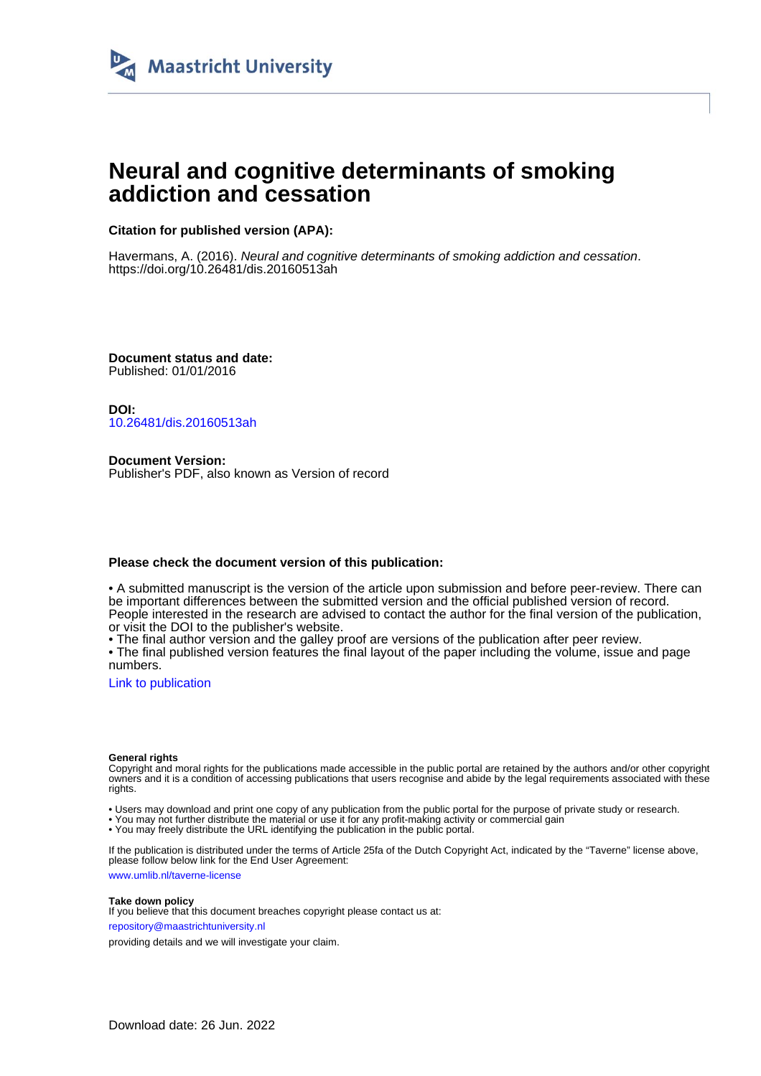

# **Neural and cognitive determinants of smoking addiction and cessation**

# **Citation for published version (APA):**

Havermans, A. (2016). Neural and cognitive determinants of smoking addiction and cessation. <https://doi.org/10.26481/dis.20160513ah>

**Document status and date:** Published: 01/01/2016

**DOI:** [10.26481/dis.20160513ah](https://doi.org/10.26481/dis.20160513ah)

**Document Version:** Publisher's PDF, also known as Version of record

### **Please check the document version of this publication:**

• A submitted manuscript is the version of the article upon submission and before peer-review. There can be important differences between the submitted version and the official published version of record. People interested in the research are advised to contact the author for the final version of the publication, or visit the DOI to the publisher's website.

• The final author version and the galley proof are versions of the publication after peer review.

• The final published version features the final layout of the paper including the volume, issue and page numbers.

[Link to publication](https://cris.maastrichtuniversity.nl/en/publications/6051819d-c0c1-4cc7-96ea-a2ca5a655a23)

#### **General rights**

Copyright and moral rights for the publications made accessible in the public portal are retained by the authors and/or other copyright owners and it is a condition of accessing publications that users recognise and abide by the legal requirements associated with these rights.

• Users may download and print one copy of any publication from the public portal for the purpose of private study or research.

• You may not further distribute the material or use it for any profit-making activity or commercial gain

• You may freely distribute the URL identifying the publication in the public portal.

If the publication is distributed under the terms of Article 25fa of the Dutch Copyright Act, indicated by the "Taverne" license above, please follow below link for the End User Agreement:

www.umlib.nl/taverne-license

#### **Take down policy**

If you believe that this document breaches copyright please contact us at: repository@maastrichtuniversity.nl

providing details and we will investigate your claim.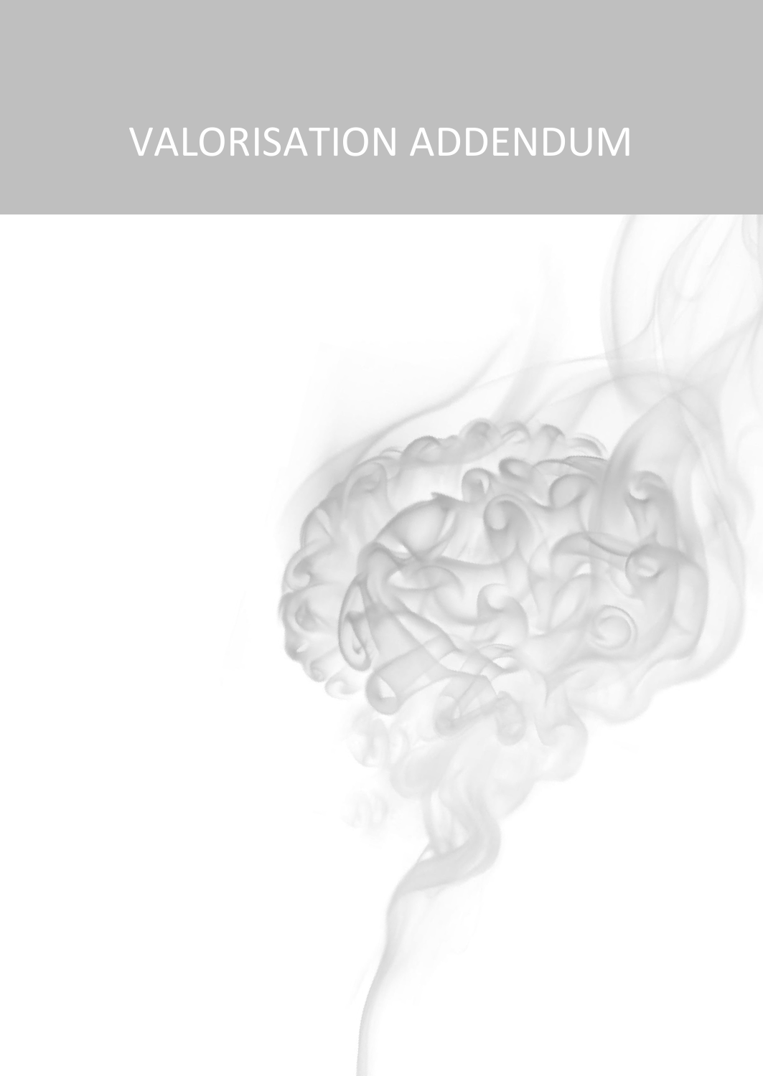# VALORISATION ADDENDUM

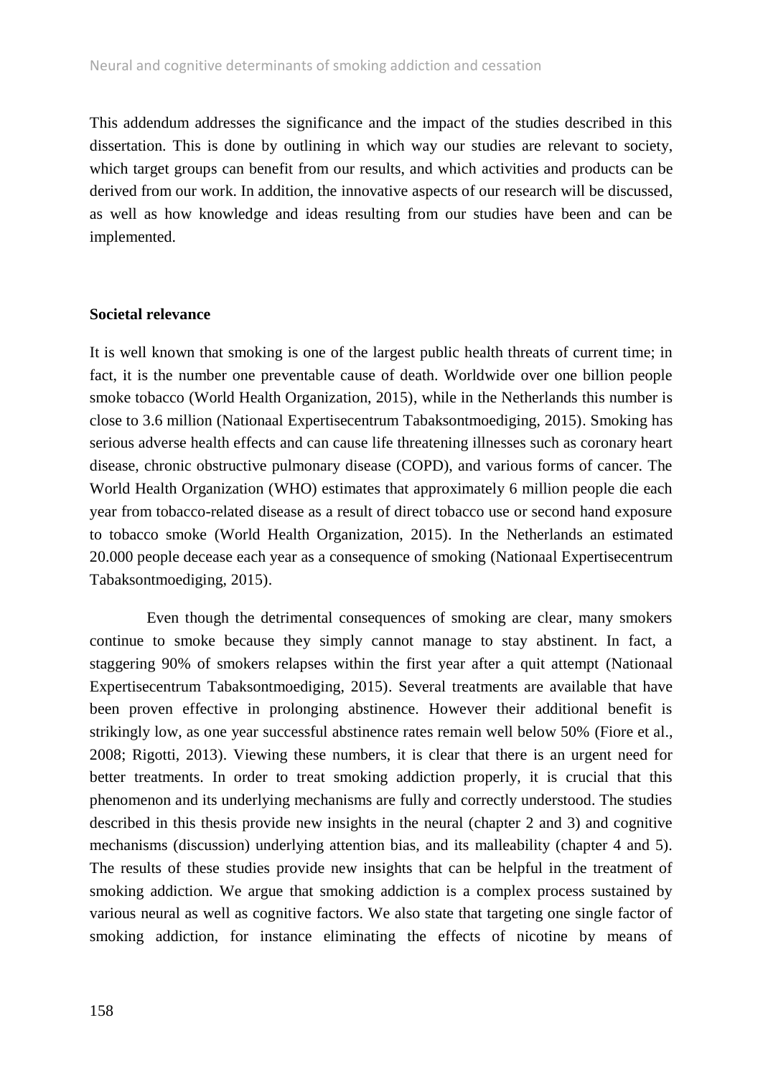This addendum addresses the significance and the impact of the studies described in this dissertation. This is done by outlining in which way our studies are relevant to society, which target groups can benefit from our results, and which activities and products can be derived from our work. In addition, the innovative aspects of our research will be discussed, as well as how knowledge and ideas resulting from our studies have been and can be implemented.

#### **Societal relevance**

It is well known that smoking is one of the largest public health threats of current time; in fact, it is the number one preventable cause of death. Worldwide over one billion people smoke tobacco (World Health Organization, 2015), while in the Netherlands this number is close to 3.6 million (Nationaal Expertisecentrum Tabaksontmoediging, 2015). Smoking has serious adverse health effects and can cause life threatening illnesses such as coronary heart disease, chronic obstructive pulmonary disease (COPD), and various forms of cancer. The World Health Organization (WHO) estimates that approximately 6 million people die each year from tobacco-related disease as a result of direct tobacco use or second hand exposure to tobacco smoke (World Health Organization, 2015). In the Netherlands an estimated 20.000 people decease each year as a consequence of smoking (Nationaal Expertisecentrum Tabaksontmoediging, 2015).

Even though the detrimental consequences of smoking are clear, many smokers continue to smoke because they simply cannot manage to stay abstinent. In fact, a staggering 90% of smokers relapses within the first year after a quit attempt (Nationaal Expertisecentrum Tabaksontmoediging, 2015). Several treatments are available that have been proven effective in prolonging abstinence. However their additional benefit is strikingly low, as one year successful abstinence rates remain well below 50% (Fiore et al., 2008; Rigotti, 2013). Viewing these numbers, it is clear that there is an urgent need for better treatments. In order to treat smoking addiction properly, it is crucial that this phenomenon and its underlying mechanisms are fully and correctly understood. The studies described in this thesis provide new insights in the neural (chapter 2 and 3) and cognitive mechanisms (discussion) underlying attention bias, and its malleability (chapter 4 and 5). The results of these studies provide new insights that can be helpful in the treatment of smoking addiction. We argue that smoking addiction is a complex process sustained by various neural as well as cognitive factors. We also state that targeting one single factor of smoking addiction, for instance eliminating the effects of nicotine by means of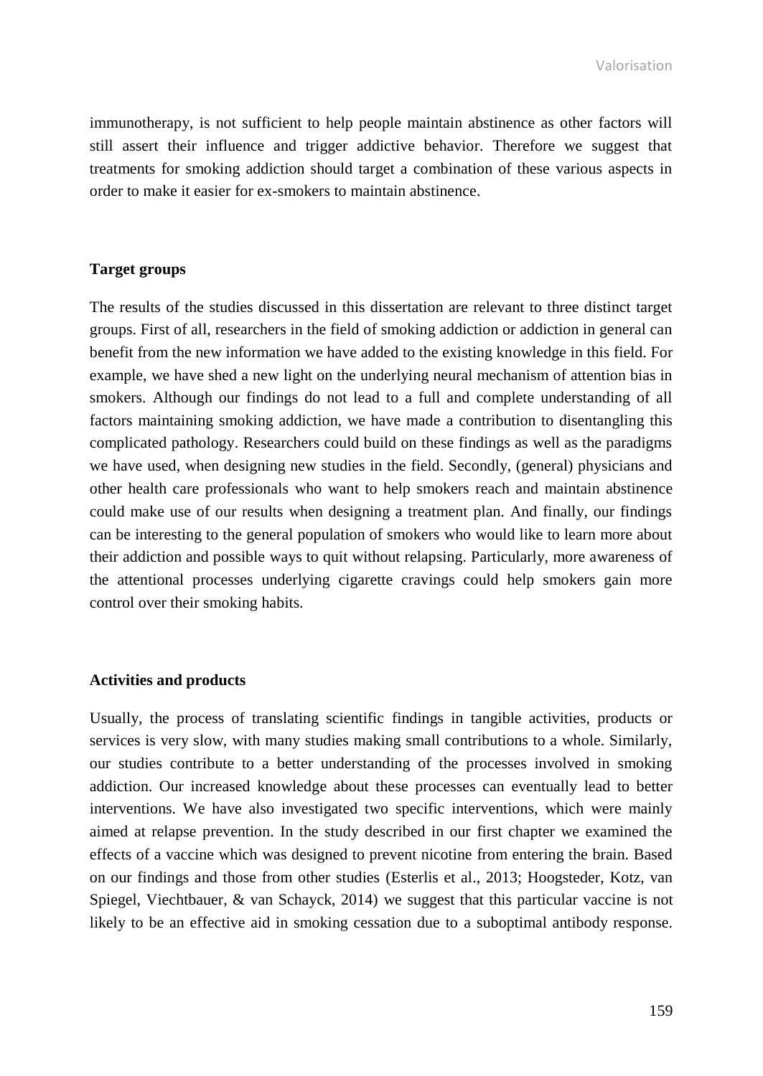immunotherapy, is not sufficient to help people maintain abstinence as other factors will still assert their influence and trigger addictive behavior. Therefore we suggest that treatments for smoking addiction should target a combination of these various aspects in order to make it easier for ex-smokers to maintain abstinence.

## **Target groups**

The results of the studies discussed in this dissertation are relevant to three distinct target groups. First of all, researchers in the field of smoking addiction or addiction in general can benefit from the new information we have added to the existing knowledge in this field. For example, we have shed a new light on the underlying neural mechanism of attention bias in smokers. Although our findings do not lead to a full and complete understanding of all factors maintaining smoking addiction, we have made a contribution to disentangling this complicated pathology. Researchers could build on these findings as well as the paradigms we have used, when designing new studies in the field. Secondly, (general) physicians and other health care professionals who want to help smokers reach and maintain abstinence could make use of our results when designing a treatment plan. And finally, our findings can be interesting to the general population of smokers who would like to learn more about their addiction and possible ways to quit without relapsing. Particularly, more awareness of the attentional processes underlying cigarette cravings could help smokers gain more control over their smoking habits.

#### **Activities and products**

Usually, the process of translating scientific findings in tangible activities, products or services is very slow, with many studies making small contributions to a whole. Similarly, our studies contribute to a better understanding of the processes involved in smoking addiction. Our increased knowledge about these processes can eventually lead to better interventions. We have also investigated two specific interventions, which were mainly aimed at relapse prevention. In the study described in our first chapter we examined the effects of a vaccine which was designed to prevent nicotine from entering the brain. Based on our findings and those from other studies (Esterlis et al., 2013; Hoogsteder, Kotz, van Spiegel, Viechtbauer, & van Schayck, 2014) we suggest that this particular vaccine is not likely to be an effective aid in smoking cessation due to a suboptimal antibody response.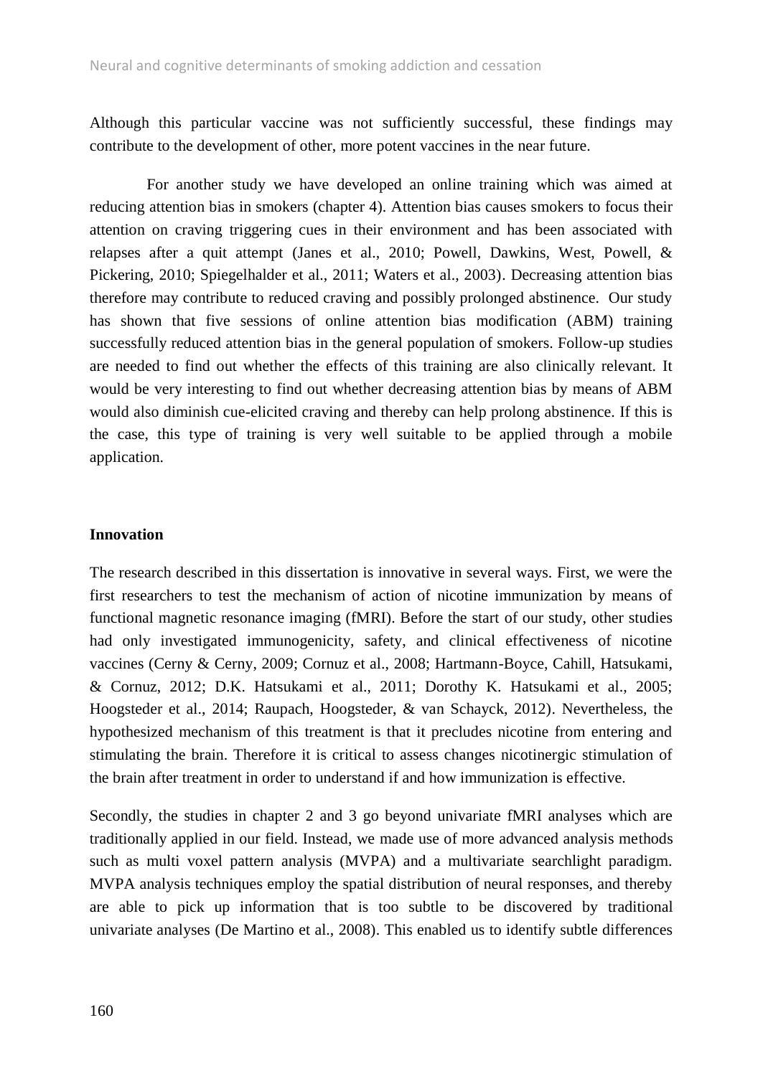Although this particular vaccine was not sufficiently successful, these findings may contribute to the development of other, more potent vaccines in the near future.

For another study we have developed an online training which was aimed at reducing attention bias in smokers (chapter 4). Attention bias causes smokers to focus their attention on craving triggering cues in their environment and has been associated with relapses after a quit attempt (Janes et al., 2010; Powell, Dawkins, West, Powell, & Pickering, 2010; Spiegelhalder et al., 2011; Waters et al., 2003). Decreasing attention bias therefore may contribute to reduced craving and possibly prolonged abstinence. Our study has shown that five sessions of online attention bias modification (ABM) training successfully reduced attention bias in the general population of smokers. Follow-up studies are needed to find out whether the effects of this training are also clinically relevant. It would be very interesting to find out whether decreasing attention bias by means of ABM would also diminish cue-elicited craving and thereby can help prolong abstinence. If this is the case, this type of training is very well suitable to be applied through a mobile application.

### **Innovation**

The research described in this dissertation is innovative in several ways. First, we were the first researchers to test the mechanism of action of nicotine immunization by means of functional magnetic resonance imaging (fMRI). Before the start of our study, other studies had only investigated immunogenicity, safety, and clinical effectiveness of nicotine vaccines (Cerny & Cerny, 2009; Cornuz et al., 2008; Hartmann-Boyce, Cahill, Hatsukami, & Cornuz, 2012; D.K. Hatsukami et al., 2011; Dorothy K. Hatsukami et al., 2005; Hoogsteder et al., 2014; Raupach, Hoogsteder, & van Schayck, 2012). Nevertheless, the hypothesized mechanism of this treatment is that it precludes nicotine from entering and stimulating the brain. Therefore it is critical to assess changes nicotinergic stimulation of the brain after treatment in order to understand if and how immunization is effective.

Secondly, the studies in chapter 2 and 3 go beyond univariate fMRI analyses which are traditionally applied in our field. Instead, we made use of more advanced analysis methods such as multi voxel pattern analysis (MVPA) and a multivariate searchlight paradigm. MVPA analysis techniques employ the spatial distribution of neural responses, and thereby are able to pick up information that is too subtle to be discovered by traditional univariate analyses (De Martino et al., 2008). This enabled us to identify subtle differences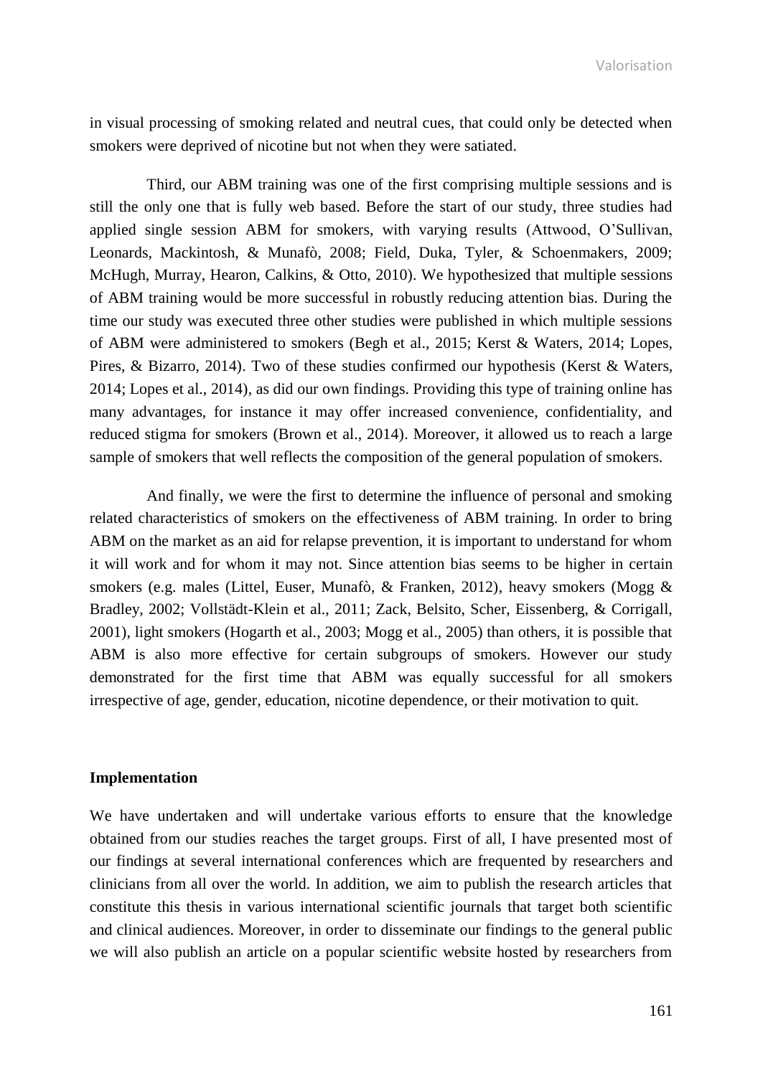Valorisation

in visual processing of smoking related and neutral cues, that could only be detected when smokers were deprived of nicotine but not when they were satiated.

Third, our ABM training was one of the first comprising multiple sessions and is still the only one that is fully web based. Before the start of our study, three studies had applied single session ABM for smokers, with varying results (Attwood, O'Sullivan, Leonards, Mackintosh, & Munafò, 2008; Field, Duka, Tyler, & Schoenmakers, 2009; McHugh, Murray, Hearon, Calkins, & Otto, 2010). We hypothesized that multiple sessions of ABM training would be more successful in robustly reducing attention bias. During the time our study was executed three other studies were published in which multiple sessions of ABM were administered to smokers (Begh et al., 2015; Kerst & Waters, 2014; Lopes, Pires, & Bizarro, 2014). Two of these studies confirmed our hypothesis (Kerst & Waters, 2014; Lopes et al., 2014), as did our own findings. Providing this type of training online has many advantages, for instance it may offer increased convenience, confidentiality, and reduced stigma for smokers (Brown et al., 2014). Moreover, it allowed us to reach a large sample of smokers that well reflects the composition of the general population of smokers.

And finally, we were the first to determine the influence of personal and smoking related characteristics of smokers on the effectiveness of ABM training. In order to bring ABM on the market as an aid for relapse prevention, it is important to understand for whom it will work and for whom it may not. Since attention bias seems to be higher in certain smokers (e.g. males (Littel, Euser, Munafò, & Franken, 2012), heavy smokers (Mogg & Bradley, 2002; Vollstädt-Klein et al., 2011; Zack, Belsito, Scher, Eissenberg, & Corrigall, 2001), light smokers (Hogarth et al., 2003; Mogg et al., 2005) than others, it is possible that ABM is also more effective for certain subgroups of smokers. However our study demonstrated for the first time that ABM was equally successful for all smokers irrespective of age, gender, education, nicotine dependence, or their motivation to quit.

#### **Implementation**

We have undertaken and will undertake various efforts to ensure that the knowledge obtained from our studies reaches the target groups. First of all, I have presented most of our findings at several international conferences which are frequented by researchers and clinicians from all over the world. In addition, we aim to publish the research articles that constitute this thesis in various international scientific journals that target both scientific and clinical audiences. Moreover, in order to disseminate our findings to the general public we will also publish an article on a popular scientific website hosted by researchers from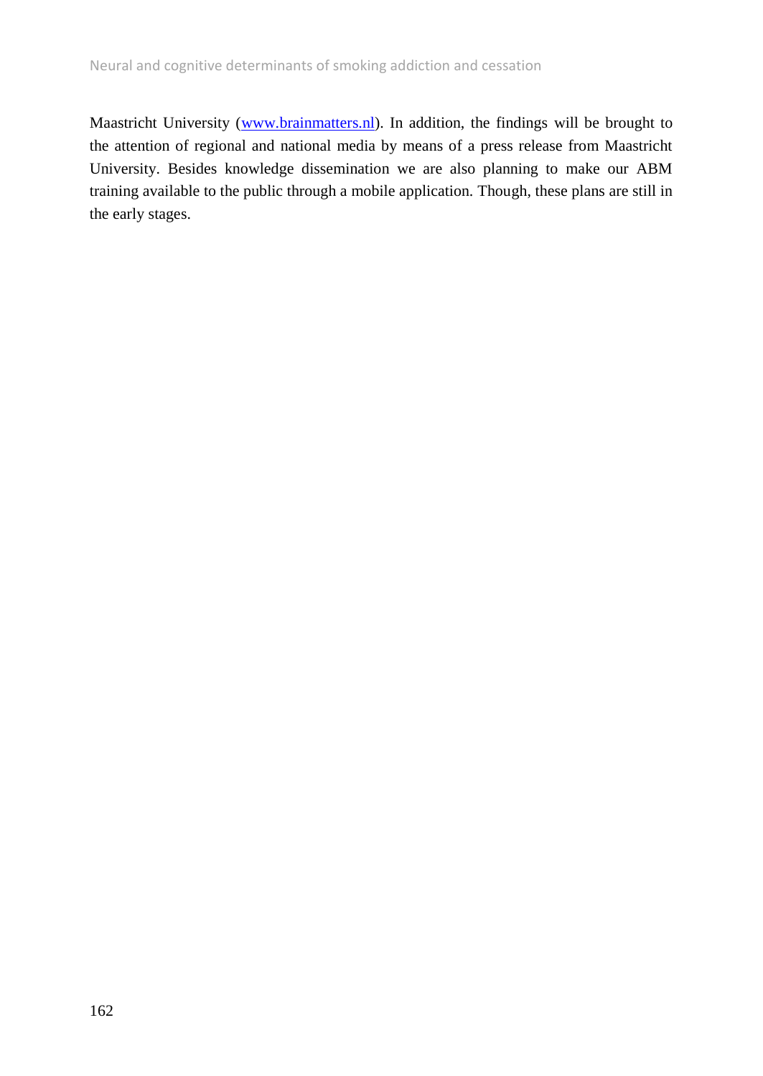Maastricht University [\(www.brainmatters.nl\)](http://www.brainmatters.nl/). In addition, the findings will be brought to the attention of regional and national media by means of a press release from Maastricht University. Besides knowledge dissemination we are also planning to make our ABM training available to the public through a mobile application. Though, these plans are still in the early stages.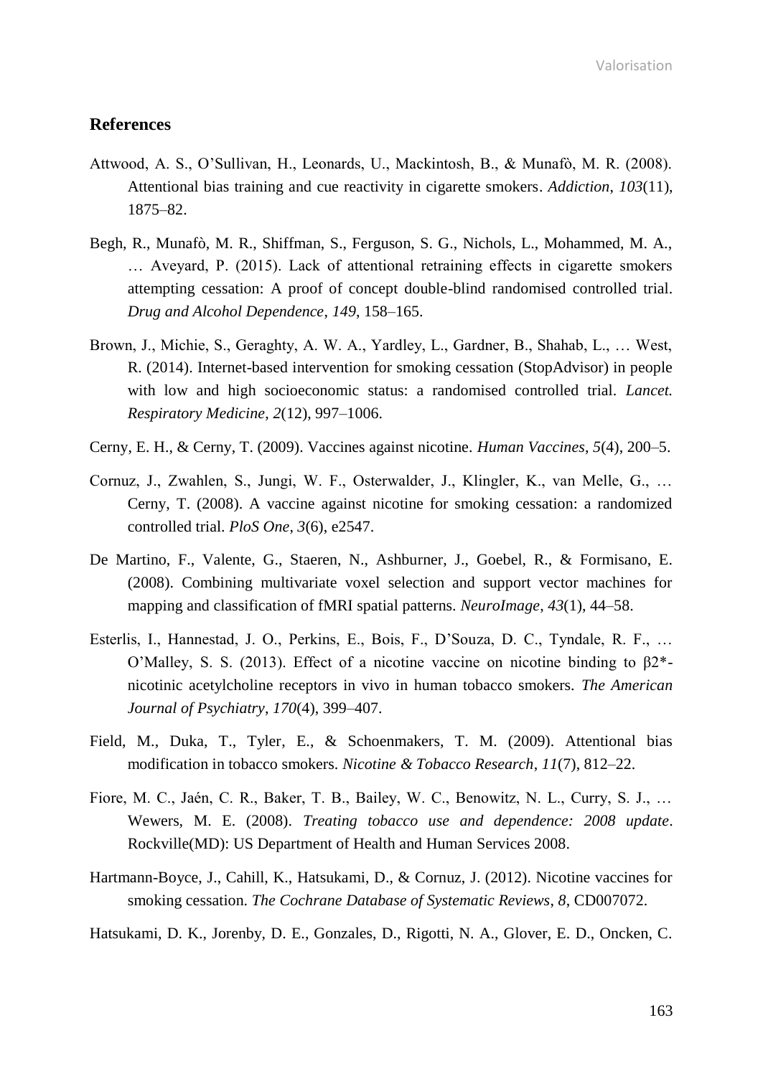Valorisation

# **References**

- Attwood, A. S., O'Sullivan, H., Leonards, U., Mackintosh, B., & Munafò, M. R. (2008). Attentional bias training and cue reactivity in cigarette smokers. *Addiction*, *103*(11), 1875–82.
- Begh, R., Munafò, M. R., Shiffman, S., Ferguson, S. G., Nichols, L., Mohammed, M. A., … Aveyard, P. (2015). Lack of attentional retraining effects in cigarette smokers attempting cessation: A proof of concept double-blind randomised controlled trial. *Drug and Alcohol Dependence*, *149*, 158–165.
- Brown, J., Michie, S., Geraghty, A. W. A., Yardley, L., Gardner, B., Shahab, L., … West, R. (2014). Internet-based intervention for smoking cessation (StopAdvisor) in people with low and high socioeconomic status: a randomised controlled trial. *Lancet. Respiratory Medicine*, *2*(12), 997–1006.
- Cerny, E. H., & Cerny, T. (2009). Vaccines against nicotine. *Human Vaccines*, *5*(4), 200–5.
- Cornuz, J., Zwahlen, S., Jungi, W. F., Osterwalder, J., Klingler, K., van Melle, G., … Cerny, T. (2008). A vaccine against nicotine for smoking cessation: a randomized controlled trial. *PloS One*, *3*(6), e2547.
- De Martino, F., Valente, G., Staeren, N., Ashburner, J., Goebel, R., & Formisano, E. (2008). Combining multivariate voxel selection and support vector machines for mapping and classification of fMRI spatial patterns. *NeuroImage*, *43*(1), 44–58.
- Esterlis, I., Hannestad, J. O., Perkins, E., Bois, F., D'Souza, D. C., Tyndale, R. F., … O'Malley, S. S. (2013). Effect of a nicotine vaccine on nicotine binding to β2\* nicotinic acetylcholine receptors in vivo in human tobacco smokers. *The American Journal of Psychiatry*, *170*(4), 399–407.
- Field, M., Duka, T., Tyler, E., & Schoenmakers, T. M. (2009). Attentional bias modification in tobacco smokers. *Nicotine & Tobacco Research*, *11*(7), 812–22.
- Fiore, M. C., Jaén, C. R., Baker, T. B., Bailey, W. C., Benowitz, N. L., Curry, S. J., … Wewers, M. E. (2008). *Treating tobacco use and dependence: 2008 update*. Rockville(MD): US Department of Health and Human Services 2008.
- Hartmann-Boyce, J., Cahill, K., Hatsukami, D., & Cornuz, J. (2012). Nicotine vaccines for smoking cessation. *The Cochrane Database of Systematic Reviews*, *8*, CD007072.

Hatsukami, D. K., Jorenby, D. E., Gonzales, D., Rigotti, N. A., Glover, E. D., Oncken, C.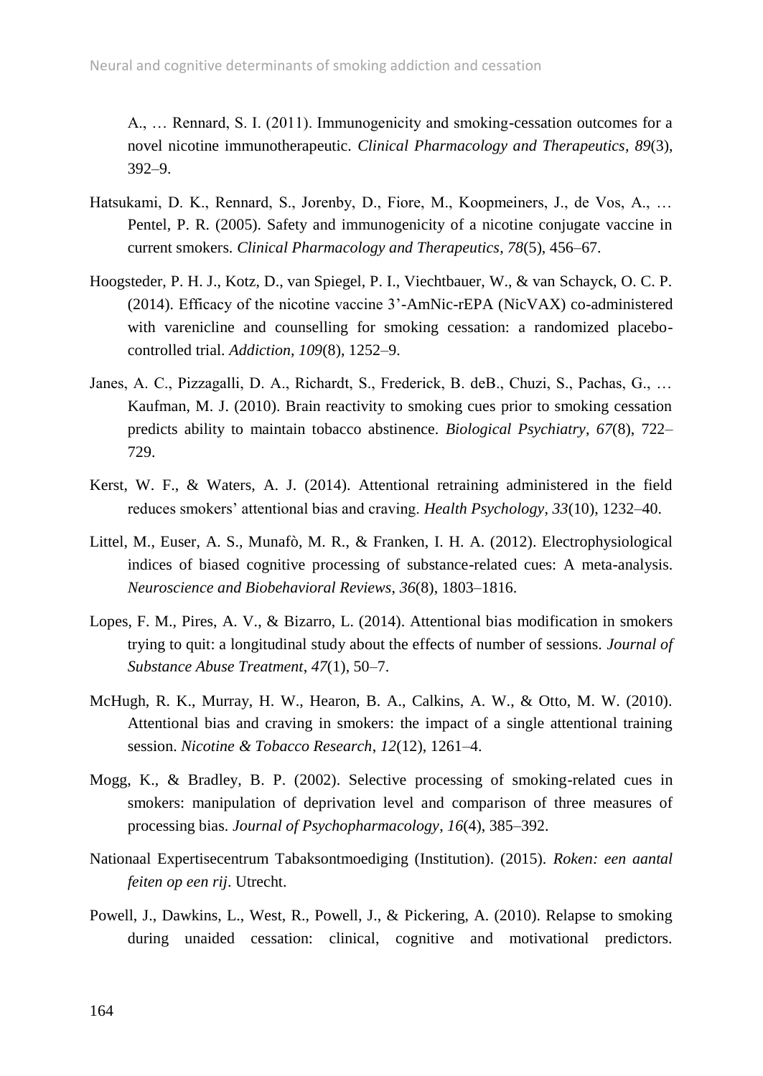A., … Rennard, S. I. (2011). Immunogenicity and smoking-cessation outcomes for a novel nicotine immunotherapeutic. *Clinical Pharmacology and Therapeutics*, *89*(3), 392–9.

- Hatsukami, D. K., Rennard, S., Jorenby, D., Fiore, M., Koopmeiners, J., de Vos, A., … Pentel, P. R. (2005). Safety and immunogenicity of a nicotine conjugate vaccine in current smokers. *Clinical Pharmacology and Therapeutics*, *78*(5), 456–67.
- Hoogsteder, P. H. J., Kotz, D., van Spiegel, P. I., Viechtbauer, W., & van Schayck, O. C. P. (2014). Efficacy of the nicotine vaccine 3'-AmNic-rEPA (NicVAX) co-administered with varenicline and counselling for smoking cessation: a randomized placebocontrolled trial. *Addiction*, *109*(8), 1252–9.
- Janes, A. C., Pizzagalli, D. A., Richardt, S., Frederick, B. deB., Chuzi, S., Pachas, G., … Kaufman, M. J. (2010). Brain reactivity to smoking cues prior to smoking cessation predicts ability to maintain tobacco abstinence. *Biological Psychiatry*, *67*(8), 722– 729.
- Kerst, W. F., & Waters, A. J. (2014). Attentional retraining administered in the field reduces smokers' attentional bias and craving. *Health Psychology*, *33*(10), 1232–40.
- Littel, M., Euser, A. S., Munafò, M. R., & Franken, I. H. A. (2012). Electrophysiological indices of biased cognitive processing of substance-related cues: A meta-analysis. *Neuroscience and Biobehavioral Reviews*, *36*(8), 1803–1816.
- Lopes, F. M., Pires, A. V., & Bizarro, L. (2014). Attentional bias modification in smokers trying to quit: a longitudinal study about the effects of number of sessions. *Journal of Substance Abuse Treatment*, *47*(1), 50–7.
- McHugh, R. K., Murray, H. W., Hearon, B. A., Calkins, A. W., & Otto, M. W. (2010). Attentional bias and craving in smokers: the impact of a single attentional training session. *Nicotine & Tobacco Research*, *12*(12), 1261–4.
- Mogg, K., & Bradley, B. P. (2002). Selective processing of smoking-related cues in smokers: manipulation of deprivation level and comparison of three measures of processing bias. *Journal of Psychopharmacology*, *16*(4), 385–392.
- Nationaal Expertisecentrum Tabaksontmoediging (Institution). (2015). *Roken: een aantal feiten op een rij*. Utrecht.
- Powell, J., Dawkins, L., West, R., Powell, J., & Pickering, A. (2010). Relapse to smoking during unaided cessation: clinical, cognitive and motivational predictors.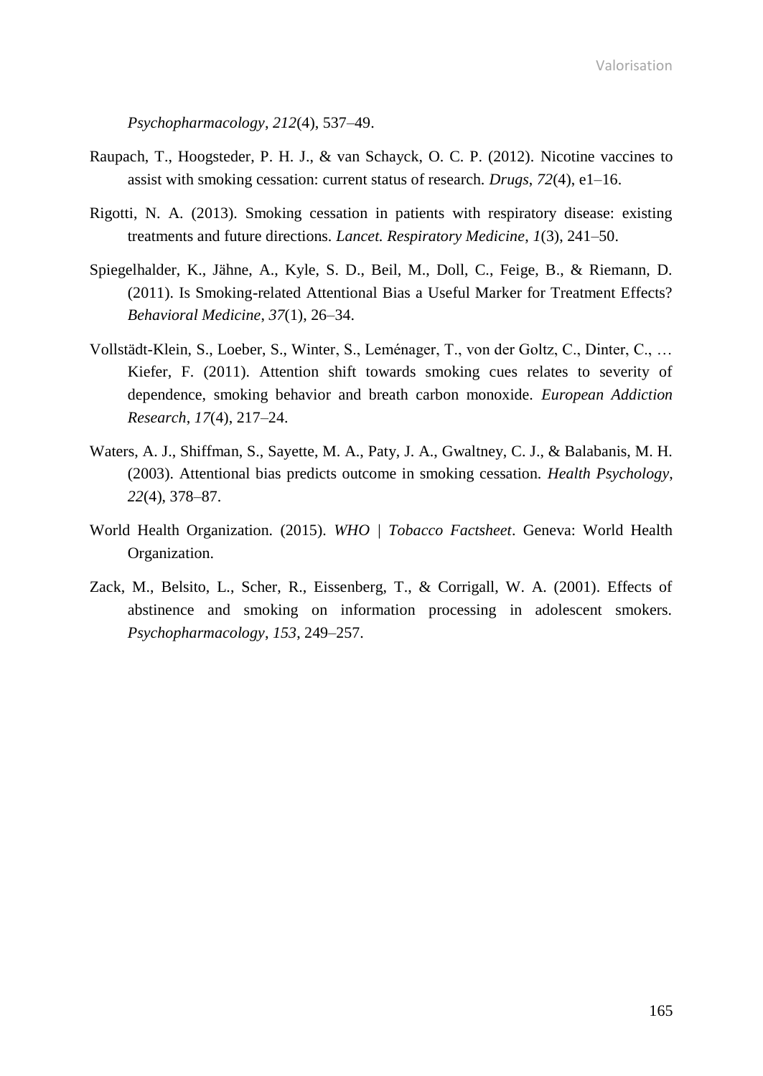Valorisation

*Psychopharmacology*, *212*(4), 537–49.

- Raupach, T., Hoogsteder, P. H. J., & van Schayck, O. C. P. (2012). Nicotine vaccines to assist with smoking cessation: current status of research. *Drugs*, *72*(4), e1–16.
- Rigotti, N. A. (2013). Smoking cessation in patients with respiratory disease: existing treatments and future directions. *Lancet. Respiratory Medicine*, *1*(3), 241–50.
- Spiegelhalder, K., Jähne, A., Kyle, S. D., Beil, M., Doll, C., Feige, B., & Riemann, D. (2011). Is Smoking-related Attentional Bias a Useful Marker for Treatment Effects? *Behavioral Medicine*, *37*(1), 26–34.
- Vollstädt-Klein, S., Loeber, S., Winter, S., Leménager, T., von der Goltz, C., Dinter, C., … Kiefer, F. (2011). Attention shift towards smoking cues relates to severity of dependence, smoking behavior and breath carbon monoxide. *European Addiction Research*, *17*(4), 217–24.
- Waters, A. J., Shiffman, S., Sayette, M. A., Paty, J. A., Gwaltney, C. J., & Balabanis, M. H. (2003). Attentional bias predicts outcome in smoking cessation. *Health Psychology*, *22*(4), 378–87.
- World Health Organization. (2015). *WHO | Tobacco Factsheet*. Geneva: World Health Organization.
- Zack, M., Belsito, L., Scher, R., Eissenberg, T., & Corrigall, W. A. (2001). Effects of abstinence and smoking on information processing in adolescent smokers. *Psychopharmacology*, *153*, 249–257.